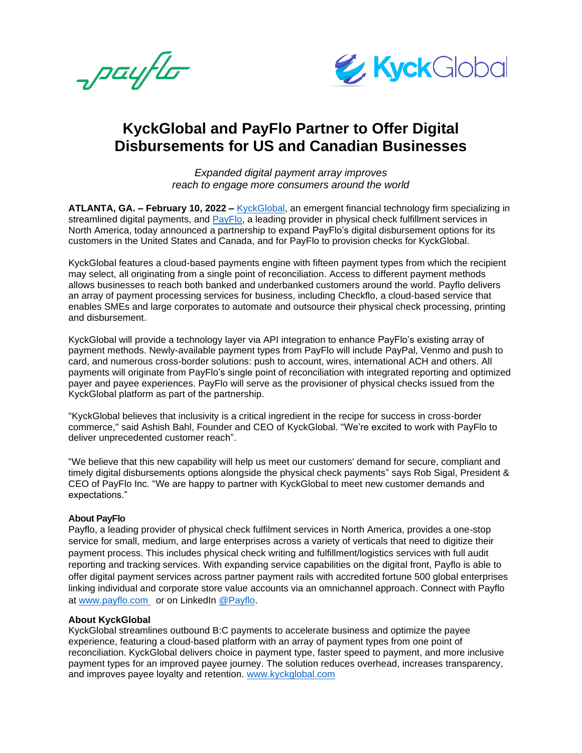payflo



## **KyckGlobal and PayFlo Partner to Offer Digital Disbursements for US and Canadian Businesses**

*Expanded digital payment array improves reach to engage more consumers around the world*

**ATLANTA, GA. – February 10, 2022 –** [KyckGlobal,](https://kyckglobal.com/) an emergent financial technology firm specializing in streamlined digital payments, and **PayFlo**, a leading provider in physical check fulfillment services in North America, today announced a partnership to expand PayFlo's digital disbursement options for its customers in the United States and Canada, and for PayFlo to provision checks for KyckGlobal.

KyckGlobal features a cloud-based payments engine with fifteen payment types from which the recipient may select, all originating from a single point of reconciliation. Access to different payment methods allows businesses to reach both banked and underbanked customers around the world. Payflo delivers an array of payment processing services for business, including Checkflo, a cloud-based service that enables SMEs and large corporates to automate and outsource their physical check processing, printing and disbursement.

KyckGlobal will provide a technology layer via API integration to enhance PayFlo's existing array of payment methods. Newly-available payment types from PayFlo will include PayPal, Venmo and push to card, and numerous cross-border solutions: push to account, wires, international ACH and others. All payments will originate from PayFlo's single point of reconciliation with integrated reporting and optimized payer and payee experiences. PayFlo will serve as the provisioner of physical checks issued from the KyckGlobal platform as part of the partnership.

"KyckGlobal believes that inclusivity is a critical ingredient in the recipe for success in cross-border commerce," said Ashish Bahl, Founder and CEO of KyckGlobal. "We're excited to work with PayFlo to deliver unprecedented customer reach".

"We believe that this new capability will help us meet our customers' demand for secure, compliant and timely digital disbursements options alongside the physical check payments" says Rob Sigal, President & CEO of PayFlo Inc. "We are happy to partner with KyckGlobal to meet new customer demands and expectations."

## **About PayFlo**

Payflo, a leading provider of physical check fulfilment services in North America, provides a one-stop service for small, medium, and large enterprises across a variety of verticals that need to digitize their payment process. This includes physical check writing and fulfillment/logistics services with full audit reporting and tracking services. With expanding service capabilities on the digital front, Payflo is able to offer digital payment services across partner payment rails with accredited fortune 500 global enterprises linking individual and corporate store value accounts via an omnichannel approach. Connect with Payflo at [www.payflo.com](http://www.payflo.com/) or on LinkedIn [@Payflo.](https://www.linkedin.com/company/payflo)

## **About KyckGlobal**

KyckGlobal streamlines outbound B:C payments to accelerate business and optimize the payee experience, featuring a cloud-based platform with an array of payment types from one point of reconciliation. KyckGlobal delivers choice in payment type, faster speed to payment, and more inclusive payment types for an improved payee journey. The solution reduces overhead, increases transparency, and improves payee loyalty and retention. [www.kyckglobal.com](file:///C:/Users/MaxGrande1/Desktop/Term%20%20Sheets/www.kyckglobal.com)